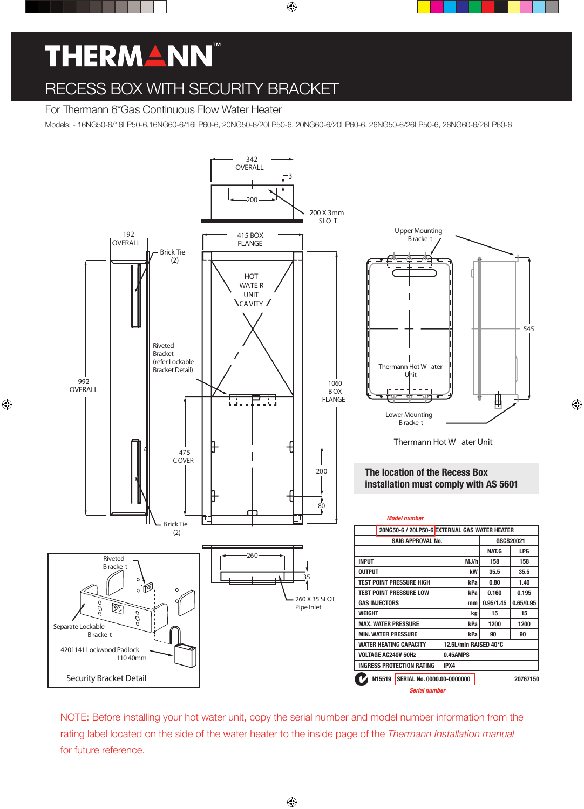# **THERMANN**

## RECESS BOX WITH SECURITY BRACKET

## For Thermann 6\*Gas Continuous Flow Water Heater

Models: - 16NG50-6/16LP50-6,16NG60-6/16LP60-6, 20NG50-6/20LP50-6, 20NG60-6/20LP60-6, 26NG50-6/26LP50-6, 26NG60-6/26LP60-6



NOTE: Before installing your hot water unit, copy the serial number and model number information from the rating label located on the side of the water heater to the inside page of the *Thermann Installation manual* for future reference.